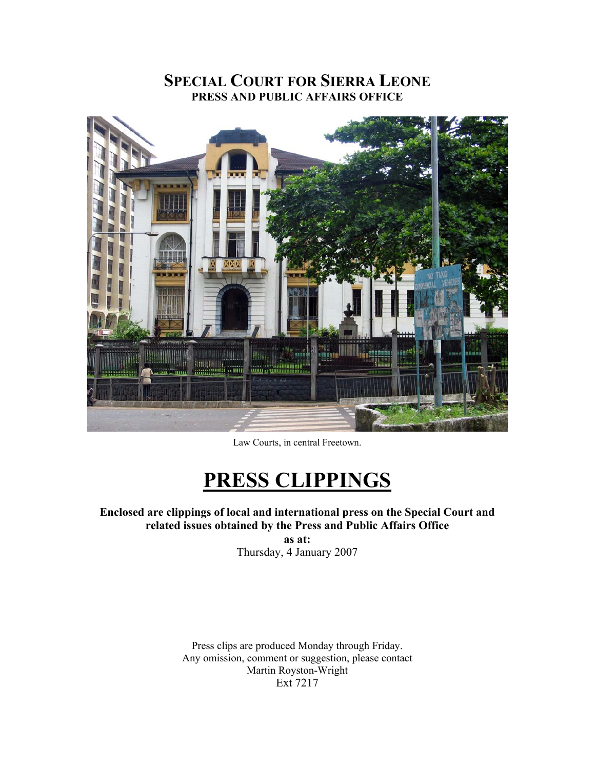# **SPECIAL COURT FOR SIERRA LEONE PRESS AND PUBLIC AFFAIRS OFFICE**



Law Courts, in central Freetown.

# **PRESS CLIPPINGS**

**Enclosed are clippings of local and international press on the Special Court and related issues obtained by the Press and Public Affairs Office as at:** 

Thursday, 4 January 2007

Press clips are produced Monday through Friday. Any omission, comment or suggestion, please contact Martin Royston-Wright Ext 7217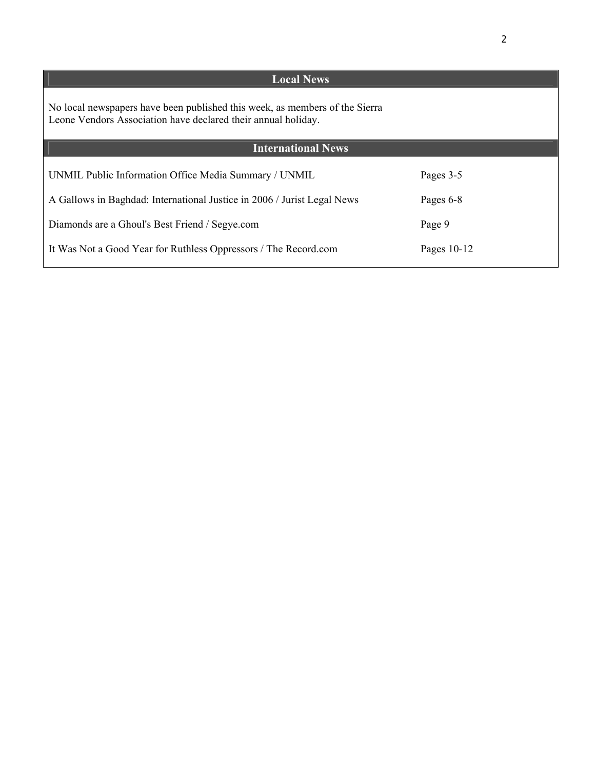| <b>Local News</b>                                                                                                                            |               |
|----------------------------------------------------------------------------------------------------------------------------------------------|---------------|
| No local newspapers have been published this week, as members of the Sierra<br>Leone Vendors Association have declared their annual holiday. |               |
| <b>International News</b>                                                                                                                    |               |
| UNMIL Public Information Office Media Summary / UNMIL                                                                                        | Pages 3-5     |
| A Gallows in Baghdad: International Justice in 2006 / Jurist Legal News                                                                      | Pages 6-8     |
| Diamonds are a Ghoul's Best Friend / Segye.com                                                                                               | Page 9        |
| It Was Not a Good Year for Ruthless Oppressors / The Record.com                                                                              | Pages $10-12$ |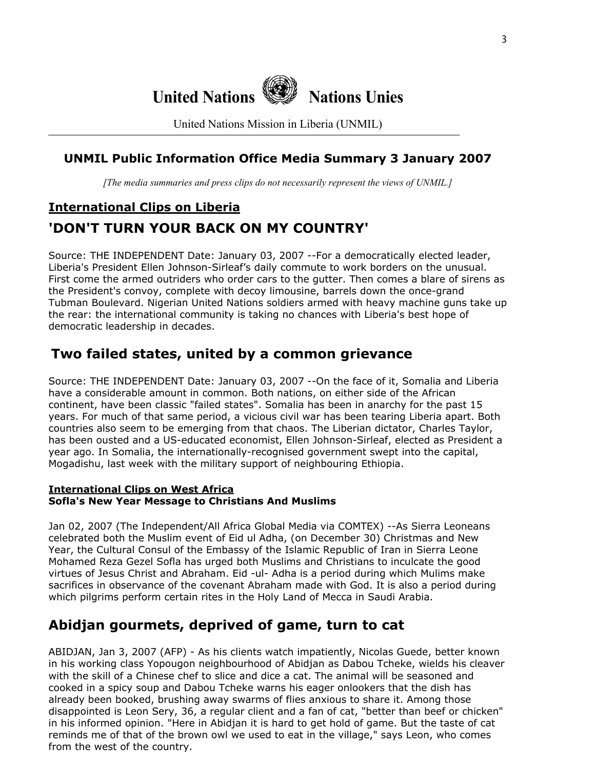

United Nations Mission in Liberia (UNMIL)

### **UNMIL Public Information Office Media Summary 3 January 2007**

*[The media summaries and press clips do not necessarily represent the views of UNMIL.]*

# **International Clips on Liberia 'DON'T TURN YOUR BACK ON MY COUNTRY'**

Source: THE INDEPENDENT Date: January 03, 2007 --For a democratically elected leader, Liberia's President Ellen Johnson-Sirleaf's daily commute to work borders on the unusual. First come the armed outriders who order cars to the gutter. Then comes a blare of sirens as the President's convoy, complete with decoy limousine, barrels down the once-grand Tubman Boulevard. Nigerian United Nations soldiers armed with heavy machine guns take up the rear: the international community is taking no chances with Liberia's best hope of democratic leadership in decades.

# **Two failed states, united by a common grievance**

Source: THE INDEPENDENT Date: January 03, 2007 --On the face of it, Somalia and Liberia have a considerable amount in common. Both nations, on either side of the African continent, have been classic "failed states". Somalia has been in anarchy for the past 15 years. For much of that same period, a vicious civil war has been tearing Liberia apart. Both countries also seem to be emerging from that chaos. The Liberian dictator, Charles Taylor, has been ousted and a US-educated economist, Ellen Johnson-Sirleaf, elected as President a year ago. In Somalia, the internationally-recognised government swept into the capital, Mogadishu, last week with the military support of neighbouring Ethiopia.

#### **International Clips on West Africa Sofla's New Year Message to Christians And Muslims**

Jan 02, 2007 (The Independent/All Africa Global Media via COMTEX) --As Sierra Leoneans celebrated both the Muslim event of Eid ul Adha, (on December 30) Christmas and New Year, the Cultural Consul of the Embassy of the Islamic Republic of Iran in Sierra Leone Mohamed Reza Gezel Sofla has urged both Muslims and Christians to inculcate the good virtues of Jesus Christ and Abraham. Eid -ul- Adha is a period during which Mulims make sacrifices in observance of the covenant Abraham made with God. It is also a period during which pilgrims perform certain rites in the Holy Land of Mecca in Saudi Arabia.

# **Abidjan gourmets, deprived of game, turn to cat**

ABIDJAN, Jan 3, 2007 (AFP) - As his clients watch impatiently, Nicolas Guede, better known in his working class Yopougon neighbourhood of Abidjan as Dabou Tcheke, wields his cleaver with the skill of a Chinese chef to slice and dice a cat. The animal will be seasoned and cooked in a spicy soup and Dabou Tcheke warns his eager onlookers that the dish has already been booked, brushing away swarms of flies anxious to share it. Among those disappointed is Leon Sery, 36, a regular client and a fan of cat, "better than beef or chicken" in his informed opinion. "Here in Abidjan it is hard to get hold of game. But the taste of cat reminds me of that of the brown owl we used to eat in the village," says Leon, who comes from the west of the country.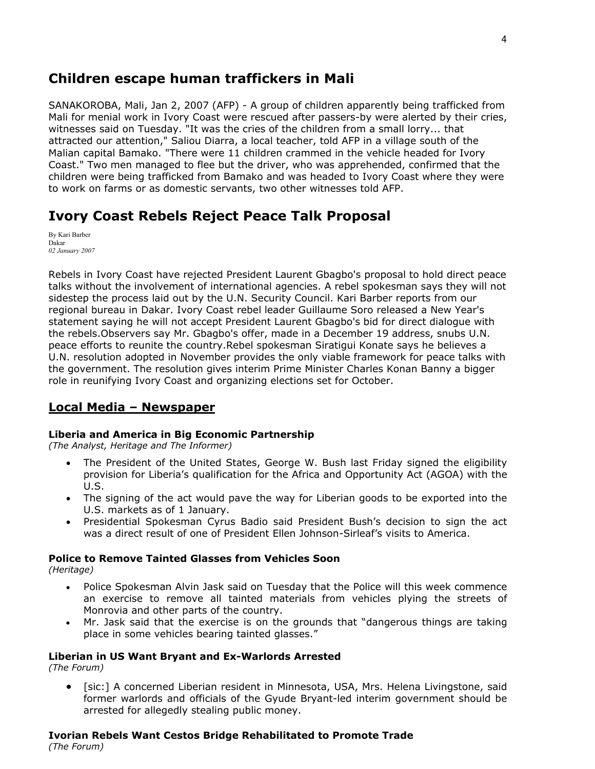### **Children escape human traffickers in Mali**

SANAKOROBA, Mali, Jan 2, 2007 (AFP) - A group of children apparently being trafficked from Mali for menial work in Ivory Coast were rescued after passers-by were alerted by their cries, witnesses said on Tuesday. "It was the cries of the children from a small lorry... that attracted our attention," Saliou Diarra, a local teacher, told AFP in a village south of the Malian capital Bamako. "There were 11 children crammed in the vehicle headed for Ivory Coast." Two men managed to flee but the driver, who was apprehended, confirmed that the children were being trafficked from Bamako and was headed to Ivory Coast where they were to work on farms or as domestic servants, two other witnesses told AFP.

# **Ivory Coast Rebels Reject Peace Talk Proposal**

By Kari Barber Dakar *02 January 2007*

Rebels in Ivory Coast have rejected President Laurent Gbagbo's proposal to hold direct peace talks without the involvement of international agencies. A rebel spokesman says they will not sidestep the process laid out by the U.N. Security Council. Kari Barber reports from our regional bureau in Dakar. Ivory Coast rebel leader Guillaume Soro released a New Year's statement saying he will not accept President Laurent Gbagbo's bid for direct dialogue with the rebels.Observers say Mr. Gbagbo's offer, made in a December 19 address, snubs U.N. peace efforts to reunite the country.Rebel spokesman Siratigui Konate says he believes a U.N. resolution adopted in November provides the only viable framework for peace talks with the government. The resolution gives interim Prime Minister Charles Konan Banny a bigger role in reunifying Ivory Coast and organizing elections set for October.

### **Local Media – Newspaper**

#### **Liberia and America in Big Economic Partnership**

*(The Analyst, Heritage and The Informer)* 

- The President of the United States, George W. Bush last Friday signed the eligibility provision for Liberia's qualification for the Africa and Opportunity Act (AGOA) with the U.S.
- The signing of the act would pave the way for Liberian goods to be exported into the U.S. markets as of 1 January.
- Presidential Spokesman Cyrus Badio said President Bush's decision to sign the act was a direct result of one of President Ellen Johnson-Sirleaf's visits to America.

#### **Police to Remove Tainted Glasses from Vehicles Soon**

*(Heritage)* 

- Police Spokesman Alvin Jask said on Tuesday that the Police will this week commence an exercise to remove all tainted materials from vehicles plying the streets of Monrovia and other parts of the country.
- Mr. Jask said that the exercise is on the grounds that "dangerous things are taking place in some vehicles bearing tainted glasses."

#### **Liberian in US Want Bryant and Ex-Warlords Arrested**

*(The Forum)*

• [sic:] A concerned Liberian resident in Minnesota, USA, Mrs. Helena Livingstone, said former warlords and officials of the Gyude Bryant-led interim government should be arrested for allegedly stealing public money.

#### **Ivorian Rebels Want Cestos Bridge Rehabilitated to Promote Trade**

*(The Forum)*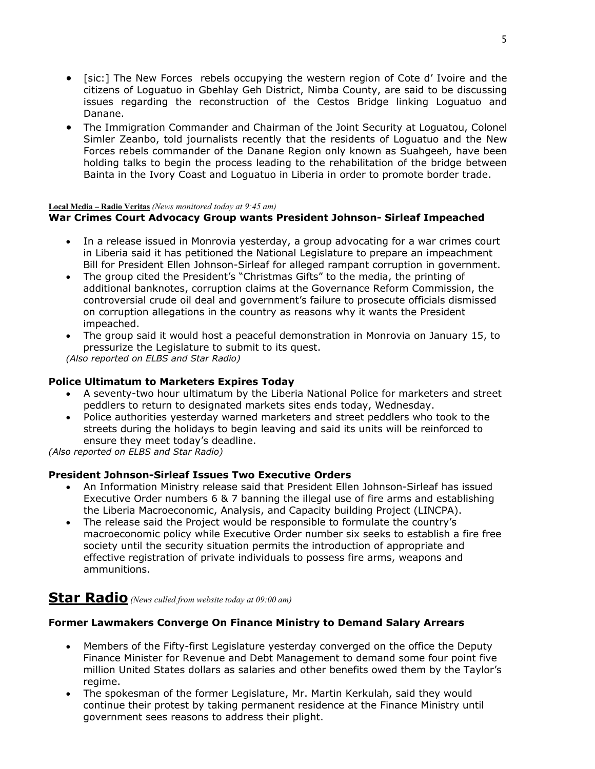- [sic:] The New Forces rebels occupying the western region of Cote d' Ivoire and the citizens of Loguatuo in Gbehlay Geh District, Nimba County, are said to be discussing issues regarding the reconstruction of the Cestos Bridge linking Loguatuo and Danane.
- The Immigration Commander and Chairman of the Joint Security at Loguatou, Colonel Simler Zeanbo, told journalists recently that the residents of Loguatuo and the New Forces rebels commander of the Danane Region only known as Suahgeeh, have been holding talks to begin the process leading to the rehabilitation of the bridge between Bainta in the Ivory Coast and Loguatuo in Liberia in order to promote border trade.

#### **Local Media – Radio Veritas** *(News monitored today at 9:45 am)*

#### **War Crimes Court Advocacy Group wants President Johnson- Sirleaf Impeached**

- In a release issued in Monrovia yesterday, a group advocating for a war crimes court in Liberia said it has petitioned the National Legislature to prepare an impeachment Bill for President Ellen Johnson-Sirleaf for alleged rampant corruption in government.
- The group cited the President's "Christmas Gifts" to the media, the printing of additional banknotes, corruption claims at the Governance Reform Commission, the controversial crude oil deal and government's failure to prosecute officials dismissed on corruption allegations in the country as reasons why it wants the President impeached.
- The group said it would host a peaceful demonstration in Monrovia on January 15, to pressurize the Legislature to submit to its quest. *(Also reported on ELBS and Star Radio)*

#### **Police Ultimatum to Marketers Expires Today**

- A seventy-two hour ultimatum by the Liberia National Police for marketers and street peddlers to return to designated markets sites ends today, Wednesday.
- Police authorities yesterday warned marketers and street peddlers who took to the streets during the holidays to begin leaving and said its units will be reinforced to ensure they meet today's deadline.

*(Also reported on ELBS and Star Radio)*

#### **President Johnson-Sirleaf Issues Two Executive Orders**

- An Information Ministry release said that President Ellen Johnson-Sirleaf has issued Executive Order numbers 6 & 7 banning the illegal use of fire arms and establishing the Liberia Macroeconomic, Analysis, and Capacity building Project (LINCPA).
- The release said the Project would be responsible to formulate the country's macroeconomic policy while Executive Order number six seeks to establish a fire free society until the security situation permits the introduction of appropriate and effective registration of private individuals to possess fire arms, weapons and ammunitions.

# **Star Radio** *(News culled from website today at 09:00 am)*

#### **Former Lawmakers Converge On Finance Ministry to Demand Salary Arrears**

- Members of the Fifty-first Legislature yesterday converged on the office the Deputy Finance Minister for Revenue and Debt Management to demand some four point five million United States dollars as salaries and other benefits owed them by the Taylor's regime.
- The spokesman of the former Legislature, Mr. Martin Kerkulah, said they would continue their protest by taking permanent residence at the Finance Ministry until government sees reasons to address their plight.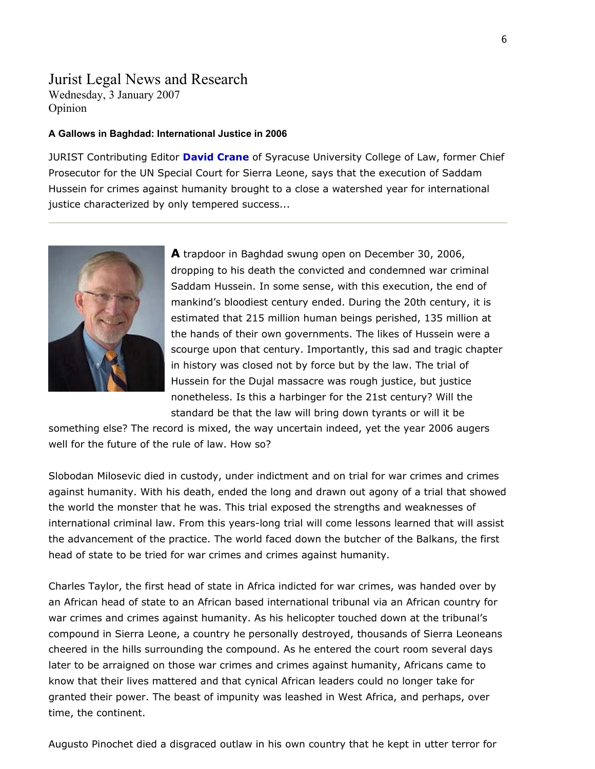### Jurist Legal News and Research Wednesday, 3 January 2007

Opinion

#### **A Gallows in Baghdad: International Justice in 2006**

JURIST Contributing Editor **[David Crane](http://www.law.syr.edu/faculty/facultymember.asp?fac=152)** of Syracuse University College of Law, former Chief Prosecutor for the UN Special Court for Sierra Leone, says that the execution of Saddam Hussein for crimes against humanity brought to a close a watershed year for international justice characterized by only tempered success...



**A** trapdoor in Baghdad swung open on December 30, 2006, dropping to his death the convicted and condemned war criminal Saddam Hussein. In some sense, with this execution, the end of mankind's bloodiest century ended. During the 20th century, it is estimated that 215 million human beings perished, 135 million at the hands of their own governments. The likes of Hussein were a scourge upon that century. Importantly, this sad and tragic chapter in history was closed not by force but by the law. The trial of Hussein for the Dujal massacre was rough justice, but justice nonetheless. Is this a harbinger for the 21st century? Will the standard be that the law will bring down tyrants or will it be

something else? The record is mixed, the way uncertain indeed, yet the year 2006 augers well for the future of the rule of law. How so?

Slobodan Milosevic died in custody, under indictment and on trial for war crimes and crimes against humanity. With his death, ended the long and drawn out agony of a trial that showed the world the monster that he was. This trial exposed the strengths and weaknesses of international criminal law. From this years-long trial will come lessons learned that will assist the advancement of the practice. The world faced down the butcher of the Balkans, the first head of state to be tried for war crimes and crimes against humanity.

Charles Taylor, the first head of state in Africa indicted for war crimes, was handed over by an African head of state to an African based international tribunal via an African country for war crimes and crimes against humanity. As his helicopter touched down at the tribunal's compound in Sierra Leone, a country he personally destroyed, thousands of Sierra Leoneans cheered in the hills surrounding the compound. As he entered the court room several days later to be arraigned on those war crimes and crimes against humanity, Africans came to know that their lives mattered and that cynical African leaders could no longer take for granted their power. The beast of impunity was leashed in West Africa, and perhaps, over time, the continent.

6

Augusto Pinochet died a disgraced outlaw in his own country that he kept in utter terror for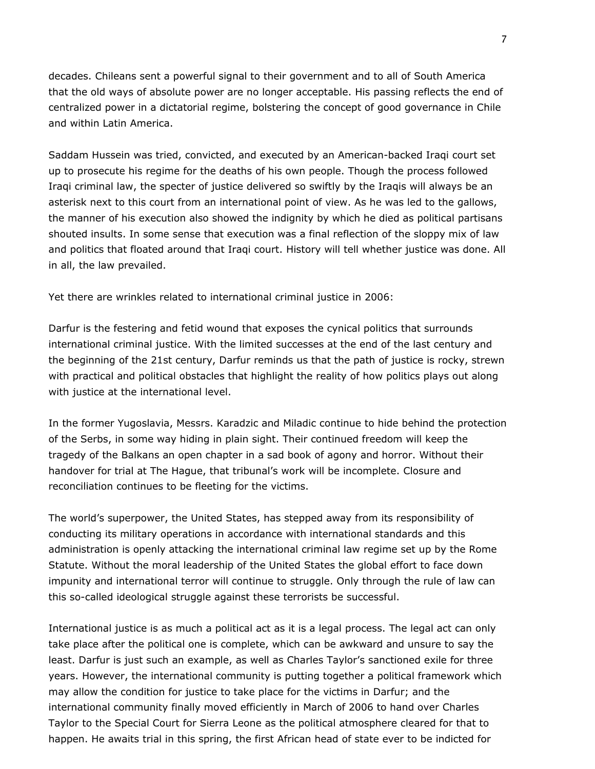decades. Chileans sent a powerful signal to their government and to all of South America that the old ways of absolute power are no longer acceptable. His passing reflects the end of centralized power in a dictatorial regime, bolstering the concept of good governance in Chile and within Latin America.

Saddam Hussein was tried, convicted, and executed by an American-backed Iraqi court set up to prosecute his regime for the deaths of his own people. Though the process followed Iraqi criminal law, the specter of justice delivered so swiftly by the Iraqis will always be an asterisk next to this court from an international point of view. As he was led to the gallows, the manner of his execution also showed the indignity by which he died as political partisans shouted insults. In some sense that execution was a final reflection of the sloppy mix of law and politics that floated around that Iraqi court. History will tell whether justice was done. All in all, the law prevailed.

Yet there are wrinkles related to international criminal justice in 2006:

Darfur is the festering and fetid wound that exposes the cynical politics that surrounds international criminal justice. With the limited successes at the end of the last century and the beginning of the 21st century, Darfur reminds us that the path of justice is rocky, strewn with practical and political obstacles that highlight the reality of how politics plays out along with justice at the international level.

In the former Yugoslavia, Messrs. Karadzic and Miladic continue to hide behind the protection of the Serbs, in some way hiding in plain sight. Their continued freedom will keep the tragedy of the Balkans an open chapter in a sad book of agony and horror. Without their handover for trial at The Hague, that tribunal's work will be incomplete. Closure and reconciliation continues to be fleeting for the victims.

The world's superpower, the United States, has stepped away from its responsibility of conducting its military operations in accordance with international standards and this administration is openly attacking the international criminal law regime set up by the Rome Statute. Without the moral leadership of the United States the global effort to face down impunity and international terror will continue to struggle. Only through the rule of law can this so-called ideological struggle against these terrorists be successful.

International justice is as much a political act as it is a legal process. The legal act can only take place after the political one is complete, which can be awkward and unsure to say the least. Darfur is just such an example, as well as Charles Taylor's sanctioned exile for three years. However, the international community is putting together a political framework which may allow the condition for justice to take place for the victims in Darfur; and the international community finally moved efficiently in March of 2006 to hand over Charles Taylor to the Special Court for Sierra Leone as the political atmosphere cleared for that to happen. He awaits trial in this spring, the first African head of state ever to be indicted for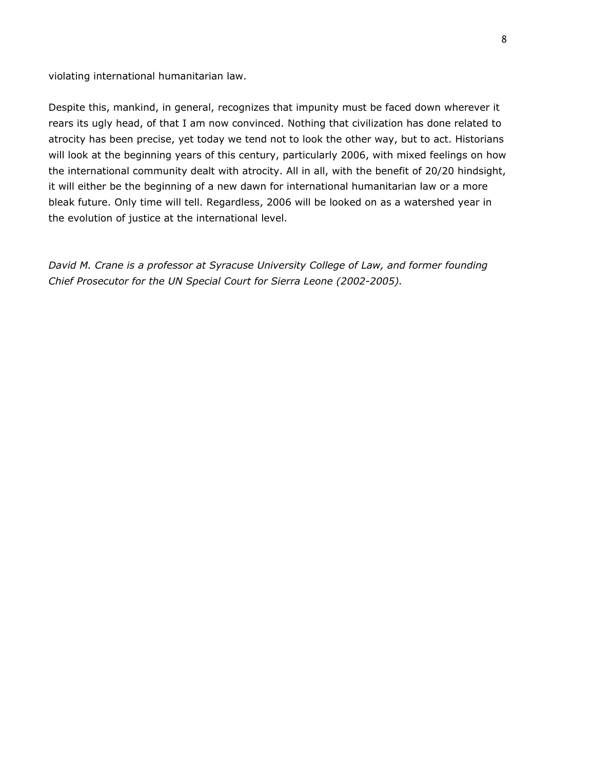violating international humanitarian law.

Despite this, mankind, in general, recognizes that impunity must be faced down wherever it rears its ugly head, of that I am now convinced. Nothing that civilization has done related to atrocity has been precise, yet today we tend not to look the other way, but to act. Historians will look at the beginning years of this century, particularly 2006, with mixed feelings on how the international community dealt with atrocity. All in all, with the benefit of 20/20 hindsight, it will either be the beginning of a new dawn for international humanitarian law or a more bleak future. Only time will tell. Regardless, 2006 will be looked on as a watershed year in the evolution of justice at the international level.

*David M. Crane is a professor at Syracuse University College of Law, and former founding Chief Prosecutor for the UN Special Court for Sierra Leone (2002-2005).*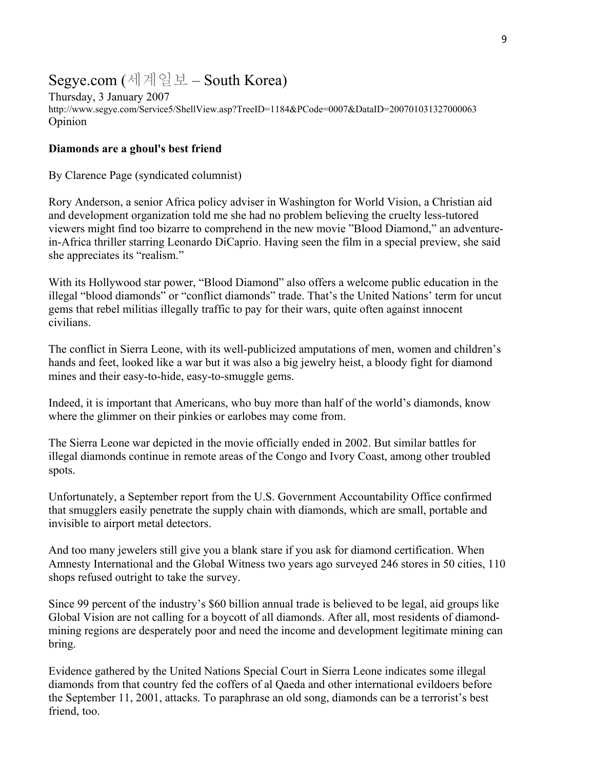# Segye.com (세계일보 – South Korea)

Thursday, 3 January 2007 http://www.segye.com/Service5/ShellView.asp?TreeID=1184&PCode=0007&DataID=200701031327000063 Opinion

### **Diamonds are a ghoul's best friend**

By Clarence Page (syndicated columnist)

Rory Anderson, a senior Africa policy adviser in Washington for World Vision, a Christian aid and development organization told me she had no problem believing the cruelty less-tutored viewers might find too bizarre to comprehend in the new movie "Blood Diamond," an adventurein-Africa thriller starring Leonardo DiCaprio. Having seen the film in a special preview, she said she appreciates its "realism."

With its Hollywood star power, "Blood Diamond" also offers a welcome public education in the illegal "blood diamonds" or "conflict diamonds" trade. That's the United Nations' term for uncut gems that rebel militias illegally traffic to pay for their wars, quite often against innocent civilians.

The conflict in Sierra Leone, with its well-publicized amputations of men, women and children's hands and feet, looked like a war but it was also a big jewelry heist, a bloody fight for diamond mines and their easy-to-hide, easy-to-smuggle gems.

Indeed, it is important that Americans, who buy more than half of the world's diamonds, know where the glimmer on their pinkies or earlobes may come from.

The Sierra Leone war depicted in the movie officially ended in 2002. But similar battles for illegal diamonds continue in remote areas of the Congo and Ivory Coast, among other troubled spots.

Unfortunately, a September report from the U.S. Government Accountability Office confirmed that smugglers easily penetrate the supply chain with diamonds, which are small, portable and invisible to airport metal detectors.

And too many jewelers still give you a blank stare if you ask for diamond certification. When Amnesty International and the Global Witness two years ago surveyed 246 stores in 50 cities, 110 shops refused outright to take the survey.

Since 99 percent of the industry's \$60 billion annual trade is believed to be legal, aid groups like Global Vision are not calling for a boycott of all diamonds. After all, most residents of diamondmining regions are desperately poor and need the income and development legitimate mining can bring.

Evidence gathered by the United Nations Special Court in Sierra Leone indicates some illegal diamonds from that country fed the coffers of al Qaeda and other international evildoers before the September 11, 2001, attacks. To paraphrase an old song, diamonds can be a terrorist's best friend, too.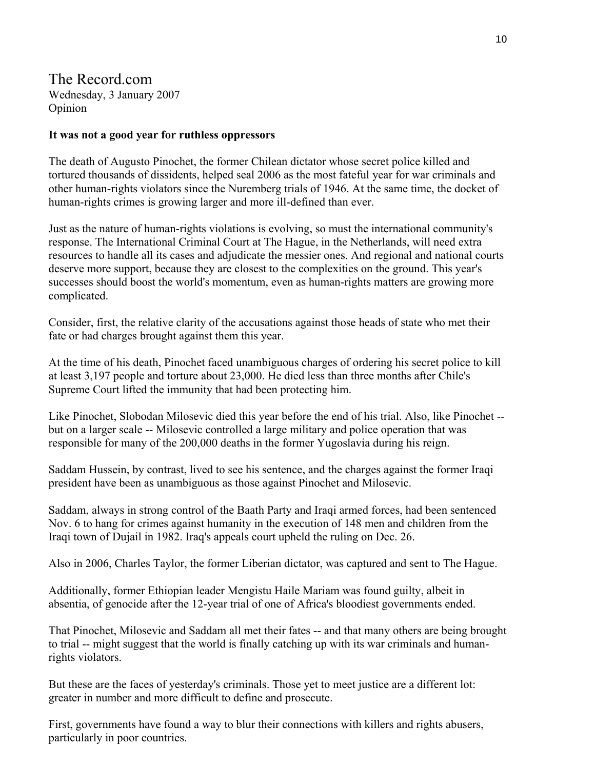### The Record.com Wednesday, 3 January 2007 **Opinion**

#### **It was not a good year for ruthless oppressors**

The death of Augusto Pinochet, the former Chilean dictator whose secret police killed and tortured thousands of dissidents, helped seal 2006 as the most fateful year for war criminals and other human-rights violators since the Nuremberg trials of 1946. At the same time, the docket of human-rights crimes is growing larger and more ill-defined than ever.

Just as the nature of human-rights violations is evolving, so must the international community's response. The International Criminal Court at The Hague, in the Netherlands, will need extra resources to handle all its cases and adjudicate the messier ones. And regional and national courts deserve more support, because they are closest to the complexities on the ground. This year's successes should boost the world's momentum, even as human-rights matters are growing more complicated.

Consider, first, the relative clarity of the accusations against those heads of state who met their fate or had charges brought against them this year.

At the time of his death, Pinochet faced unambiguous charges of ordering his secret police to kill at least 3,197 people and torture about 23,000. He died less than three months after Chile's Supreme Court lifted the immunity that had been protecting him.

Like Pinochet, Slobodan Milosevic died this year before the end of his trial. Also, like Pinochet - but on a larger scale -- Milosevic controlled a large military and police operation that was responsible for many of the 200,000 deaths in the former Yugoslavia during his reign.

Saddam Hussein, by contrast, lived to see his sentence, and the charges against the former Iraqi president have been as unambiguous as those against Pinochet and Milosevic.

Saddam, always in strong control of the Baath Party and Iraqi armed forces, had been sentenced Nov. 6 to hang for crimes against humanity in the execution of 148 men and children from the Iraqi town of Dujail in 1982. Iraq's appeals court upheld the ruling on Dec. 26.

Also in 2006, Charles Taylor, the former Liberian dictator, was captured and sent to The Hague.

Additionally, former Ethiopian leader Mengistu Haile Mariam was found guilty, albeit in absentia, of genocide after the 12-year trial of one of Africa's bloodiest governments ended.

That Pinochet, Milosevic and Saddam all met their fates -- and that many others are being brought to trial -- might suggest that the world is finally catching up with its war criminals and humanrights violators.

But these are the faces of yesterday's criminals. Those yet to meet justice are a different lot: greater in number and more difficult to define and prosecute.

First, governments have found a way to blur their connections with killers and rights abusers, particularly in poor countries.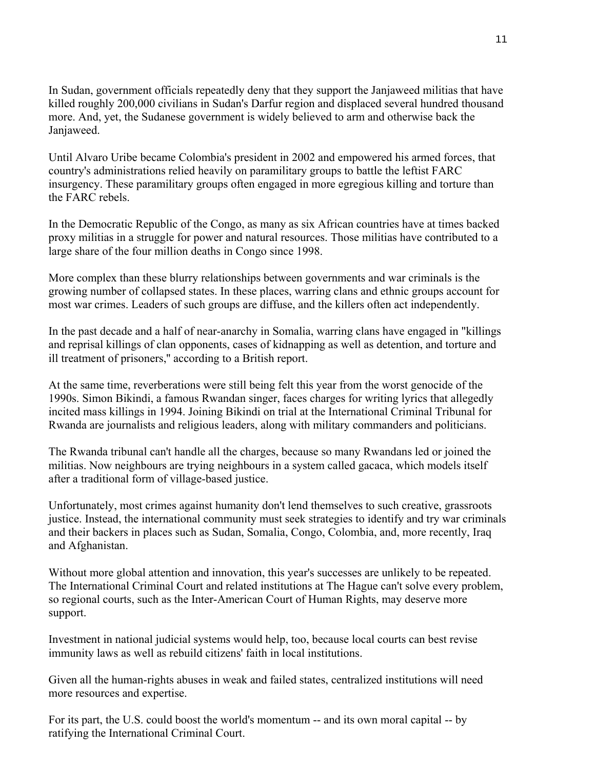In Sudan, government officials repeatedly deny that they support the Janjaweed militias that have killed roughly 200,000 civilians in Sudan's Darfur region and displaced several hundred thousand more. And, yet, the Sudanese government is widely believed to arm and otherwise back the Janjaweed.

Until Alvaro Uribe became Colombia's president in 2002 and empowered his armed forces, that country's administrations relied heavily on paramilitary groups to battle the leftist FARC insurgency. These paramilitary groups often engaged in more egregious killing and torture than the FARC rebels.

In the Democratic Republic of the Congo, as many as six African countries have at times backed proxy militias in a struggle for power and natural resources. Those militias have contributed to a large share of the four million deaths in Congo since 1998.

More complex than these blurry relationships between governments and war criminals is the growing number of collapsed states. In these places, warring clans and ethnic groups account for most war crimes. Leaders of such groups are diffuse, and the killers often act independently.

In the past decade and a half of near-anarchy in Somalia, warring clans have engaged in "killings and reprisal killings of clan opponents, cases of kidnapping as well as detention, and torture and ill treatment of prisoners,'' according to a British report.

At the same time, reverberations were still being felt this year from the worst genocide of the 1990s. Simon Bikindi, a famous Rwandan singer, faces charges for writing lyrics that allegedly incited mass killings in 1994. Joining Bikindi on trial at the International Criminal Tribunal for Rwanda are journalists and religious leaders, along with military commanders and politicians.

The Rwanda tribunal can't handle all the charges, because so many Rwandans led or joined the militias. Now neighbours are trying neighbours in a system called gacaca, which models itself after a traditional form of village-based justice.

Unfortunately, most crimes against humanity don't lend themselves to such creative, grassroots justice. Instead, the international community must seek strategies to identify and try war criminals and their backers in places such as Sudan, Somalia, Congo, Colombia, and, more recently, Iraq and Afghanistan.

Without more global attention and innovation, this year's successes are unlikely to be repeated. The International Criminal Court and related institutions at The Hague can't solve every problem, so regional courts, such as the Inter-American Court of Human Rights, may deserve more support.

Investment in national judicial systems would help, too, because local courts can best revise immunity laws as well as rebuild citizens' faith in local institutions.

Given all the human-rights abuses in weak and failed states, centralized institutions will need more resources and expertise.

For its part, the U.S. could boost the world's momentum -- and its own moral capital -- by ratifying the International Criminal Court.